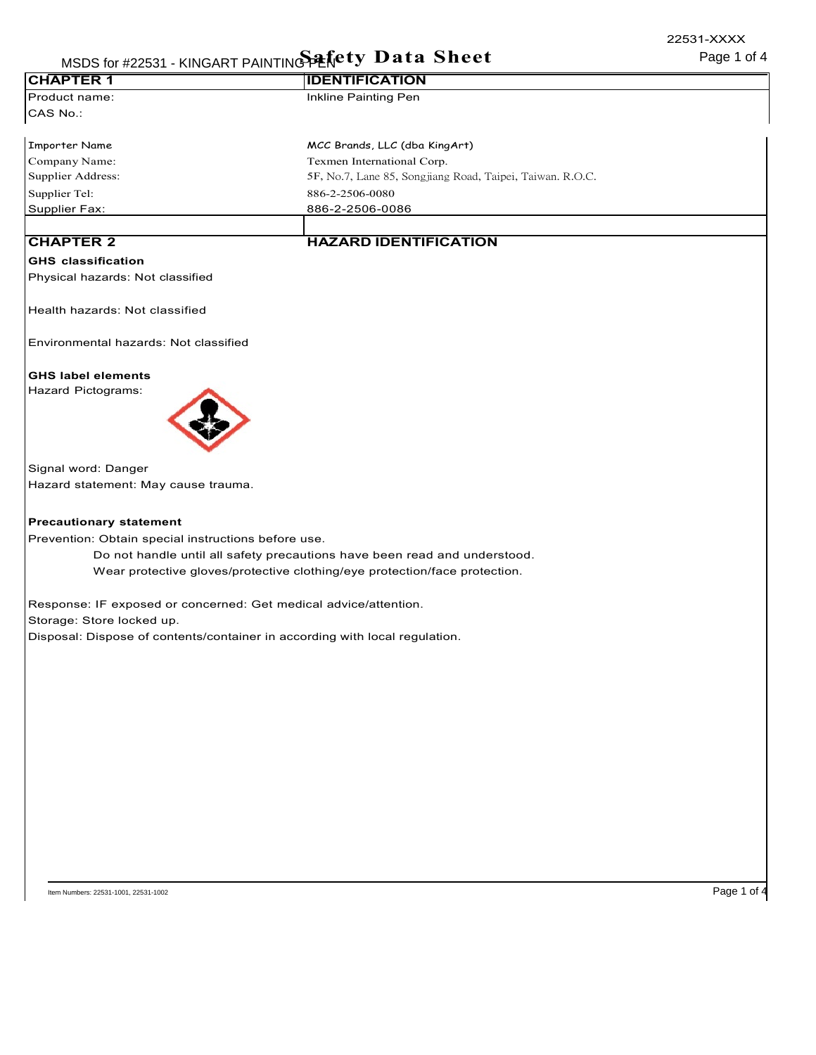|                                                     | MSDS for #22531 - KINGART PAINTING PERety Data Sheet                        | 22531-XXXX<br>Page 1 of 4 |
|-----------------------------------------------------|-----------------------------------------------------------------------------|---------------------------|
| <b>CHAPTER 1</b>                                    | <b>IDENTIFICATION</b>                                                       |                           |
| Product name:                                       | Inkline Painting Pen                                                        |                           |
| CAS No.:                                            |                                                                             |                           |
| <b>Importer Name</b>                                | MCC Brands, LLC (dba KingArt)                                               |                           |
| Company Name:                                       | Texmen International Corp.                                                  |                           |
| Supplier Address:                                   | 5F, No.7, Lane 85, Songjiang Road, Taipei, Taiwan. R.O.C.                   |                           |
| Supplier Tel:                                       | 886-2-2506-0080                                                             |                           |
| <b>Supplier Fax:</b>                                | 886-2-2506-0086                                                             |                           |
| <b>CHAPTER 2</b>                                    | <b>HAZARD IDENTIFICATION</b>                                                |                           |
| <b>GHS</b> classification                           |                                                                             |                           |
| Physical hazards: Not classified                    |                                                                             |                           |
| Health hazards: Not classified                      |                                                                             |                           |
| Environmental hazards: Not classified               |                                                                             |                           |
| <b>GHS label elements</b>                           |                                                                             |                           |
| Hazard Pictograms:                                  |                                                                             |                           |
| Signal word: Danger                                 |                                                                             |                           |
| Hazard statement: May cause trauma.                 |                                                                             |                           |
| <b>Precautionary statement</b>                      |                                                                             |                           |
| Prevention: Obtain special instructions before use. |                                                                             |                           |
|                                                     | Do not handle until all safety precautions have been read and understood.   |                           |
|                                                     | Wear protective gloves/protective clothing/eye protection/face protection.  |                           |
|                                                     | Response: IF exposed or concerned: Get medical advice/attention.            |                           |
| Storage: Store locked up.                           |                                                                             |                           |
|                                                     | Disposal: Dispose of contents/container in according with local regulation. |                           |
|                                                     |                                                                             |                           |
|                                                     |                                                                             |                           |
|                                                     |                                                                             |                           |
|                                                     |                                                                             |                           |
|                                                     |                                                                             |                           |
|                                                     |                                                                             |                           |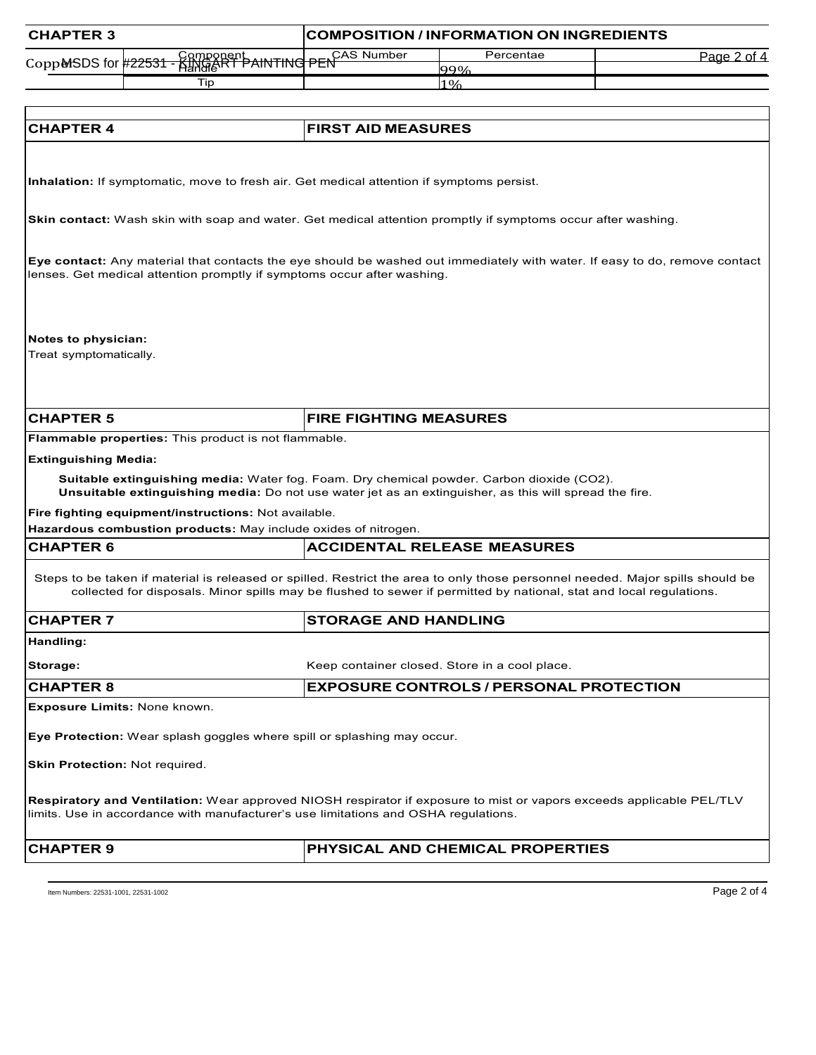| <b>CHAPTER 3</b>                                                                                                                                                                                                                                      |                               | <b>COMPOSITION / INFORMATION ON INGREDIENTS</b> |             |
|-------------------------------------------------------------------------------------------------------------------------------------------------------------------------------------------------------------------------------------------------------|-------------------------------|-------------------------------------------------|-------------|
|                                                                                                                                                                                                                                                       | PEN <sup>CAS</sup> Number     | Percentae                                       | Page 2 of 4 |
| Component<br>HandieRT PAINTING<br>CoppMSDS for #22531                                                                                                                                                                                                 |                               | 99%                                             |             |
| Tip                                                                                                                                                                                                                                                   |                               | 1%                                              |             |
|                                                                                                                                                                                                                                                       |                               |                                                 |             |
| <b>CHAPTER 4</b>                                                                                                                                                                                                                                      | <b>FIRST AID MEASURES</b>     |                                                 |             |
|                                                                                                                                                                                                                                                       |                               |                                                 |             |
| Inhalation: If symptomatic, move to fresh air. Get medical attention if symptoms persist.                                                                                                                                                             |                               |                                                 |             |
| <b>Skin contact:</b> Wash skin with soap and water. Get medical attention promptly if symptoms occur after washing.                                                                                                                                   |                               |                                                 |             |
| Eye contact: Any material that contacts the eye should be washed out immediately with water. If easy to do, remove contact<br>lenses. Get medical attention promptly if symptoms occur after washing.                                                 |                               |                                                 |             |
| Notes to physician:<br>Treat symptomatically.                                                                                                                                                                                                         |                               |                                                 |             |
| <b>CHAPTER 5</b>                                                                                                                                                                                                                                      | <b>FIRE FIGHTING MEASURES</b> |                                                 |             |
| Flammable properties: This product is not flammable.                                                                                                                                                                                                  |                               |                                                 |             |
| <b>Extinguishing Media:</b>                                                                                                                                                                                                                           |                               |                                                 |             |
| Suitable extinguishing media: Water fog. Foam. Dry chemical powder. Carbon dioxide (CO2).<br>Unsuitable extinguishing media: Do not use water jet as an extinguisher, as this will spread the fire.                                                   |                               |                                                 |             |
| Fire fighting equipment/instructions: Not available.                                                                                                                                                                                                  |                               |                                                 |             |
| Hazardous combustion products: May include oxides of nitrogen.                                                                                                                                                                                        |                               |                                                 |             |
| <b>CHAPTER 6</b>                                                                                                                                                                                                                                      |                               | <b>ACCIDENTAL RELEASE MEASURES</b>              |             |
| Steps to be taken if material is released or spilled. Restrict the area to only those personnel needed. Major spills should be<br>collected for disposals. Minor spills may be flushed to sewer if permitted by national, stat and local regulations. |                               |                                                 |             |
| <b>CHAPTER 7</b>                                                                                                                                                                                                                                      | <b>STORAGE AND HANDLING</b>   |                                                 |             |
| Handling:                                                                                                                                                                                                                                             |                               |                                                 |             |
| Storage:                                                                                                                                                                                                                                              |                               | Keep container closed. Store in a cool place.   |             |
| <b>CHAPTER 8</b>                                                                                                                                                                                                                                      |                               | <b>EXPOSURE CONTROLS / PERSONAL PROTECTION</b>  |             |
| Exposure Limits: None known.                                                                                                                                                                                                                          |                               |                                                 |             |
| Eye Protection: Wear splash goggles where spill or splashing may occur.                                                                                                                                                                               |                               |                                                 |             |
| Skin Protection: Not required.                                                                                                                                                                                                                        |                               |                                                 |             |
| <b>Respiratory and Ventilation:</b> Wear approved NIOSH respirator if exposure to mist or vapors exceeds applicable PEL/TLV<br>limits. Use in accordance with manufacturer's use limitations and OSHA regulations.                                    |                               |                                                 |             |

**CHAPTER 9 PHYSICAL AND CHEMICAL PROPERTIES**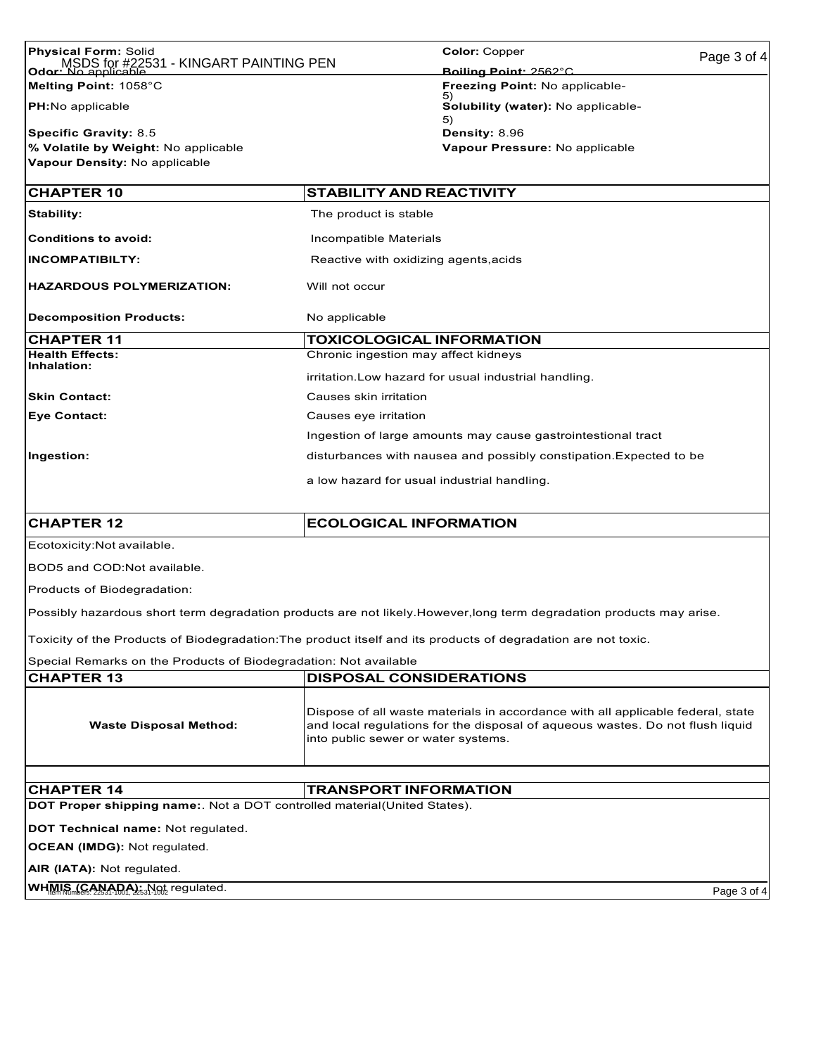| <b>Physical Form: Solid</b>                                                                                         |                                                                    | <b>Color: Copper</b>                                                                                                                                             | Page 3 of 4 |
|---------------------------------------------------------------------------------------------------------------------|--------------------------------------------------------------------|------------------------------------------------------------------------------------------------------------------------------------------------------------------|-------------|
| MSDS for #22531 - KINGART PAINTING PEN<br>Odor: No applic                                                           |                                                                    | Boiling Point: 2562°C                                                                                                                                            |             |
| Melting Point: 1058°C                                                                                               |                                                                    | <b>Freezing Point: No applicable-</b>                                                                                                                            |             |
| <b>PH:</b> No applicable                                                                                            |                                                                    | Solubility (water): No applicable-                                                                                                                               |             |
| <b>Specific Gravity: 8.5</b>                                                                                        |                                                                    | 5)<br>Density: 8.96                                                                                                                                              |             |
| % Volatile by Weight: No applicable                                                                                 |                                                                    | Vapour Pressure: No applicable                                                                                                                                   |             |
| Vapour Density: No applicable                                                                                       |                                                                    |                                                                                                                                                                  |             |
| <b>CHAPTER 10</b>                                                                                                   | <b>STABILITY AND REACTIVITY</b>                                    |                                                                                                                                                                  |             |
| <b>Stability:</b>                                                                                                   | The product is stable                                              |                                                                                                                                                                  |             |
| <b>Conditions to avoid:</b>                                                                                         | Incompatible Materials                                             |                                                                                                                                                                  |             |
| <b>INCOMPATIBILTY:</b>                                                                                              | Reactive with oxidizing agents,acids                               |                                                                                                                                                                  |             |
| <b>HAZARDOUS POLYMERIZATION:</b>                                                                                    | Will not occur                                                     |                                                                                                                                                                  |             |
| <b>Decomposition Products:</b>                                                                                      | No applicable                                                      |                                                                                                                                                                  |             |
| <b>CHAPTER 11</b>                                                                                                   | <b>TOXICOLOGICAL INFORMATION</b>                                   |                                                                                                                                                                  |             |
| <b>Health Effects:</b><br>Inhalation:                                                                               | Chronic ingestion may affect kidneys                               |                                                                                                                                                                  |             |
|                                                                                                                     |                                                                    | irritation. Low hazard for usual industrial handling.                                                                                                            |             |
| <b>Skin Contact:</b>                                                                                                | Causes skin irritation                                             |                                                                                                                                                                  |             |
| <b>Eye Contact:</b>                                                                                                 | Causes eye irritation                                              |                                                                                                                                                                  |             |
|                                                                                                                     | Ingestion of large amounts may cause gastrointestional tract       |                                                                                                                                                                  |             |
| Ingestion:                                                                                                          | disturbances with nausea and possibly constipation. Expected to be |                                                                                                                                                                  |             |
|                                                                                                                     | a low hazard for usual industrial handling.                        |                                                                                                                                                                  |             |
|                                                                                                                     |                                                                    |                                                                                                                                                                  |             |
| <b>CHAPTER 12</b>                                                                                                   | <b>ECOLOGICAL INFORMATION</b>                                      |                                                                                                                                                                  |             |
| Ecotoxicity: Not available.                                                                                         |                                                                    |                                                                                                                                                                  |             |
| BOD5 and COD:Not available.                                                                                         |                                                                    |                                                                                                                                                                  |             |
| Products of Biodegradation:                                                                                         |                                                                    |                                                                                                                                                                  |             |
| Possibly hazardous short term degradation products are not likely.However,long term degradation products may arise. |                                                                    |                                                                                                                                                                  |             |
| Toxicity of the Products of Biodegradation: The product itself and its products of degradation are not toxic.       |                                                                    |                                                                                                                                                                  |             |
| Special Remarks on the Products of Biodegradation: Not available                                                    |                                                                    |                                                                                                                                                                  |             |
| <b>CHAPTER 13</b>                                                                                                   | <b>DISPOSAL CONSIDERATIONS</b>                                     |                                                                                                                                                                  |             |
| <b>Waste Disposal Method:</b>                                                                                       | into public sewer or water systems.                                | Dispose of all waste materials in accordance with all applicable federal, state<br>and local regulations for the disposal of aqueous wastes. Do not flush liquid |             |

| <b>ICHAPTER 14</b>                                                               | <b>TRANSPORT INFORMATION</b> |
|----------------------------------------------------------------------------------|------------------------------|
| <b>DOT Proper shipping name:</b> . Not a DOT controlled material(United States). |                              |

**DOT Technical name:** Not regulated.

**OCEAN (IMDG):** Not regulated.

**AIR (IATA):** Not regulated.

**WH<u>MIS (CANADA):</u>** Not regulated. **It is a straight of a straight of a straight page 3 of 4** Page 3 of 4